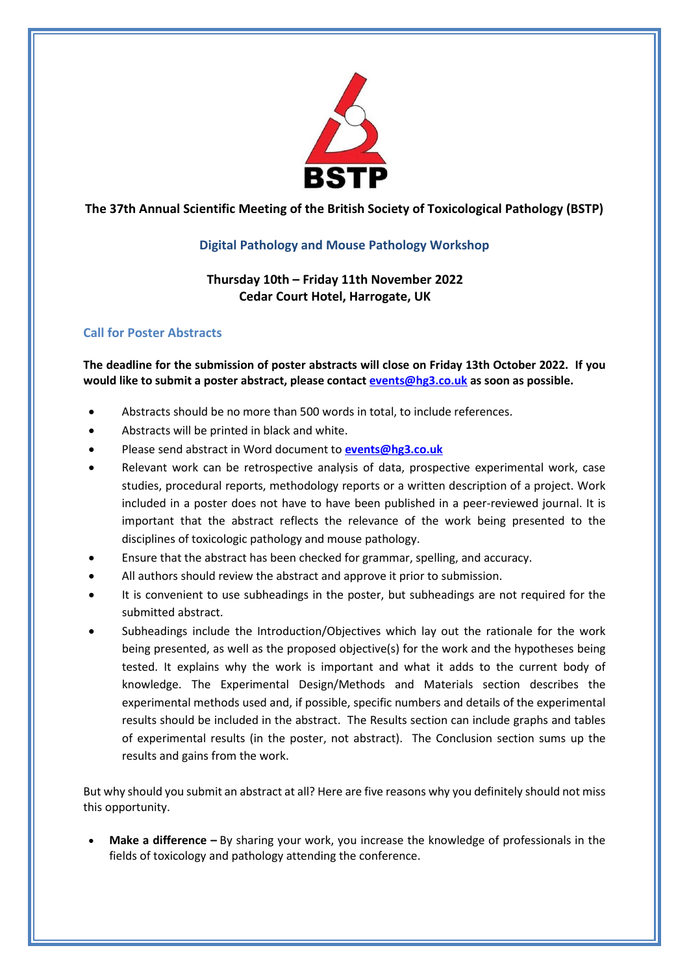

## **The 37th Annual Scientific Meeting of the British Society of Toxicological Pathology (BSTP)**

## **Digital Pathology and Mouse Pathology Workshop**

**Thursday 10th – Friday 11th November 2022 Cedar Court Hotel, Harrogate, UK**

## **Call for Poster Abstracts**

**The deadline for the submission of poster abstracts will close on Friday 13th October 2022. If you would like to submit a poster abstract, please contact events@hg3.co.uk as soon as possible.**

- Abstracts should be no more than 500 words in total, to include references.
- Abstracts will be printed in black and white.
- Please send abstract in Word document to **[events@hg3.co.uk](mailto:events@hg3.co.uk)**
- Relevant work can be retrospective analysis of data, prospective experimental work, case studies, procedural reports, methodology reports or a written description of a project. Work included in a poster does not have to have been published in a peer-reviewed journal. It is important that the abstract reflects the relevance of the work being presented to the disciplines of toxicologic pathology and mouse pathology.
- Ensure that the abstract has been checked for grammar, spelling, and accuracy.
- All authors should review the abstract and approve it prior to submission.
- It is convenient to use subheadings in the poster, but subheadings are not required for the submitted abstract.
- Subheadings include the Introduction/Objectives which lay out the rationale for the work being presented, as well as the proposed objective(s) for the work and the hypotheses being tested. It explains why the work is important and what it adds to the current body of knowledge. The Experimental Design/Methods and Materials section describes the experimental methods used and, if possible, specific numbers and details of the experimental results should be included in the abstract. The Results section can include graphs and tables of experimental results (in the poster, not abstract). The Conclusion section sums up the results and gains from the work.

But why should you submit an abstract at all? Here are five reasons why you definitely should not miss this opportunity.

• **Make a difference –** By sharing your work, you increase the knowledge of professionals in the fields of toxicology and pathology attending the conference.